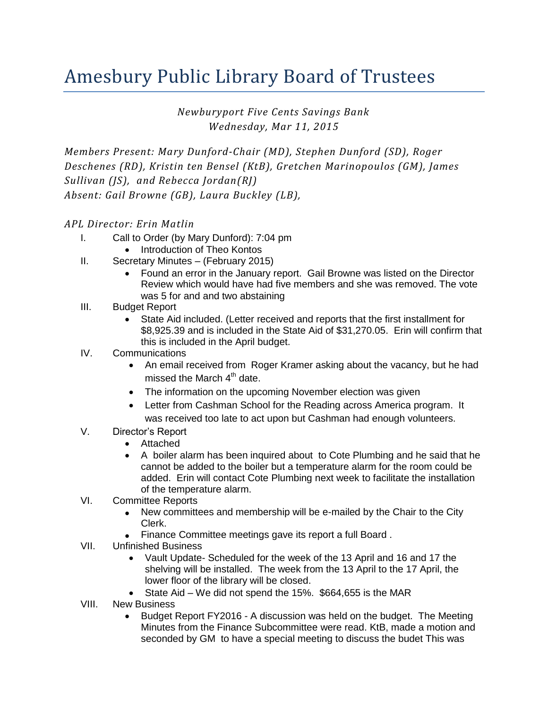## Amesbury Public Library Board of Trustees

*Newburyport Five Cents Savings Bank Wednesday, Mar 11, 2015*

*Members Present: Mary Dunford-Chair (MD), Stephen Dunford (SD), Roger Deschenes (RD), Kristin ten Bensel (KtB), Gretchen Marinopoulos (GM), James Sullivan (JS), and Rebecca Jordan(RJ) Absent: Gail Browne (GB), Laura Buckley (LB),*

## *APL Director: Erin Matlin*

- I. Call to Order (by Mary Dunford): 7:04 pm
	- Introduction of Theo Kontos
- II. Secretary Minutes (February 2015)
	- Found an error in the January report. Gail Browne was listed on the Director Review which would have had five members and she was removed. The vote was 5 for and and two abstaining
- III. Budget Report
	- State Aid included. (Letter received and reports that the first installment for \$8,925.39 and is included in the State Aid of \$31,270.05. Erin will confirm that this is included in the April budget.
- IV. Communications
	- An email received from Roger Kramer asking about the vacancy, but he had missed the March  $4^{\text{th}}$  date.
	- The information on the upcoming November election was given
	- Letter from Cashman School for the Reading across America program. It was received too late to act upon but Cashman had enough volunteers.
- V. Director's Report
	- Attached
	- A boiler alarm has been inquired about to Cote Plumbing and he said that he cannot be added to the boiler but a temperature alarm for the room could be added. Erin will contact Cote Plumbing next week to facilitate the installation of the temperature alarm.
- VI. Committee Reports
	- New committees and membership will be e-mailed by the Chair to the City Clerk.
	- Finance Committee meetings gave its report a full Board .
- VII. Unfinished Business
	- Vault Update- Scheduled for the week of the 13 April and 16 and 17 the shelving will be installed. The week from the 13 April to the 17 April, the lower floor of the library will be closed.
	- State Aid We did not spend the 15%. \$664,655 is the MAR
- VIII. New Business
	- Budget Report FY2016 A discussion was held on the budget. The Meeting Minutes from the Finance Subcommittee were read. KtB, made a motion and seconded by GM to have a special meeting to discuss the budet This was